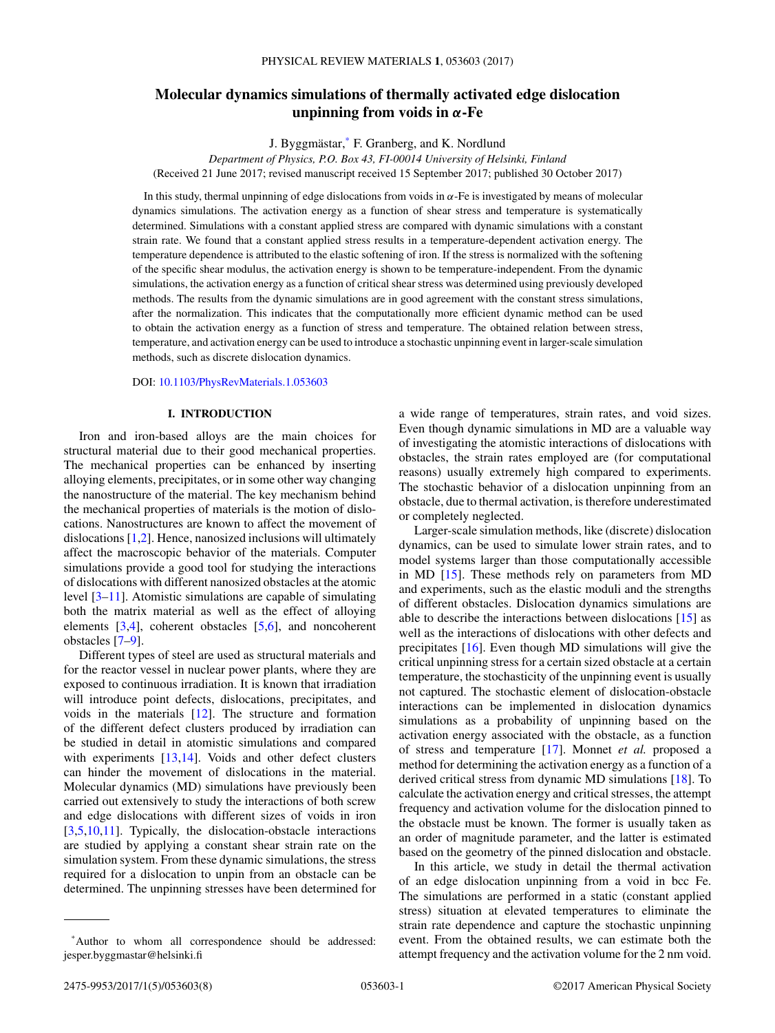# **Molecular dynamics simulations of thermally activated edge dislocation unpinning from voids in** *α***-Fe**

J. Byggmästar,\* F. Granberg, and K. Nordlund

*Department of Physics, P.O. Box 43, FI-00014 University of Helsinki, Finland* (Received 21 June 2017; revised manuscript received 15 September 2017; published 30 October 2017)

In this study, thermal unpinning of edge dislocations from voids in *α*-Fe is investigated by means of molecular dynamics simulations. The activation energy as a function of shear stress and temperature is systematically determined. Simulations with a constant applied stress are compared with dynamic simulations with a constant strain rate. We found that a constant applied stress results in a temperature-dependent activation energy. The temperature dependence is attributed to the elastic softening of iron. If the stress is normalized with the softening of the specific shear modulus, the activation energy is shown to be temperature-independent. From the dynamic simulations, the activation energy as a function of critical shear stress was determined using previously developed methods. The results from the dynamic simulations are in good agreement with the constant stress simulations, after the normalization. This indicates that the computationally more efficient dynamic method can be used to obtain the activation energy as a function of stress and temperature. The obtained relation between stress, temperature, and activation energy can be used to introduce a stochastic unpinning event in larger-scale simulation methods, such as discrete dislocation dynamics.

DOI: [10.1103/PhysRevMaterials.1.053603](https://doi.org/10.1103/PhysRevMaterials.1.053603)

## **I. INTRODUCTION**

Iron and iron-based alloys are the main choices for structural material due to their good mechanical properties. The mechanical properties can be enhanced by inserting alloying elements, precipitates, or in some other way changing the nanostructure of the material. The key mechanism behind the mechanical properties of materials is the motion of dislocations. Nanostructures are known to affect the movement of dislocations [\[1,2\]](#page-6-0). Hence, nanosized inclusions will ultimately affect the macroscopic behavior of the materials. Computer simulations provide a good tool for studying the interactions of dislocations with different nanosized obstacles at the atomic level [\[3–11\]](#page-6-0). Atomistic simulations are capable of simulating both the matrix material as well as the effect of alloying elements [\[3,4\]](#page-6-0), coherent obstacles [\[5,6\]](#page-6-0), and noncoherent obstacles [\[7–9\]](#page-6-0).

Different types of steel are used as structural materials and for the reactor vessel in nuclear power plants, where they are exposed to continuous irradiation. It is known that irradiation will introduce point defects, dislocations, precipitates, and voids in the materials [\[12\]](#page-6-0). The structure and formation of the different defect clusters produced by irradiation can be studied in detail in atomistic simulations and compared with experiments  $[13,14]$ . Voids and other defect clusters can hinder the movement of dislocations in the material. Molecular dynamics (MD) simulations have previously been carried out extensively to study the interactions of both screw and edge dislocations with different sizes of voids in iron [\[3,5,10,11\]](#page-6-0). Typically, the dislocation-obstacle interactions are studied by applying a constant shear strain rate on the simulation system. From these dynamic simulations, the stress required for a dislocation to unpin from an obstacle can be determined. The unpinning stresses have been determined for a wide range of temperatures, strain rates, and void sizes. Even though dynamic simulations in MD are a valuable way of investigating the atomistic interactions of dislocations with obstacles, the strain rates employed are (for computational reasons) usually extremely high compared to experiments. The stochastic behavior of a dislocation unpinning from an obstacle, due to thermal activation, is therefore underestimated or completely neglected.

Larger-scale simulation methods, like (discrete) dislocation dynamics, can be used to simulate lower strain rates, and to model systems larger than those computationally accessible in MD [\[15\]](#page-6-0). These methods rely on parameters from MD and experiments, such as the elastic moduli and the strengths of different obstacles. Dislocation dynamics simulations are able to describe the interactions between dislocations [\[15\]](#page-6-0) as well as the interactions of dislocations with other defects and precipitates [\[16\]](#page-6-0). Even though MD simulations will give the critical unpinning stress for a certain sized obstacle at a certain temperature, the stochasticity of the unpinning event is usually not captured. The stochastic element of dislocation-obstacle interactions can be implemented in dislocation dynamics simulations as a probability of unpinning based on the activation energy associated with the obstacle, as a function of stress and temperature [\[17\]](#page-6-0). Monnet *et al.* proposed a method for determining the activation energy as a function of a derived critical stress from dynamic MD simulations [\[18\]](#page-6-0). To calculate the activation energy and critical stresses, the attempt frequency and activation volume for the dislocation pinned to the obstacle must be known. The former is usually taken as an order of magnitude parameter, and the latter is estimated based on the geometry of the pinned dislocation and obstacle.

In this article, we study in detail the thermal activation of an edge dislocation unpinning from a void in bcc Fe. The simulations are performed in a static (constant applied stress) situation at elevated temperatures to eliminate the strain rate dependence and capture the stochastic unpinning event. From the obtained results, we can estimate both the attempt frequency and the activation volume for the 2 nm void.

<sup>\*</sup>Author to whom all correspondence should be addressed: jesper.byggmastar@helsinki.fi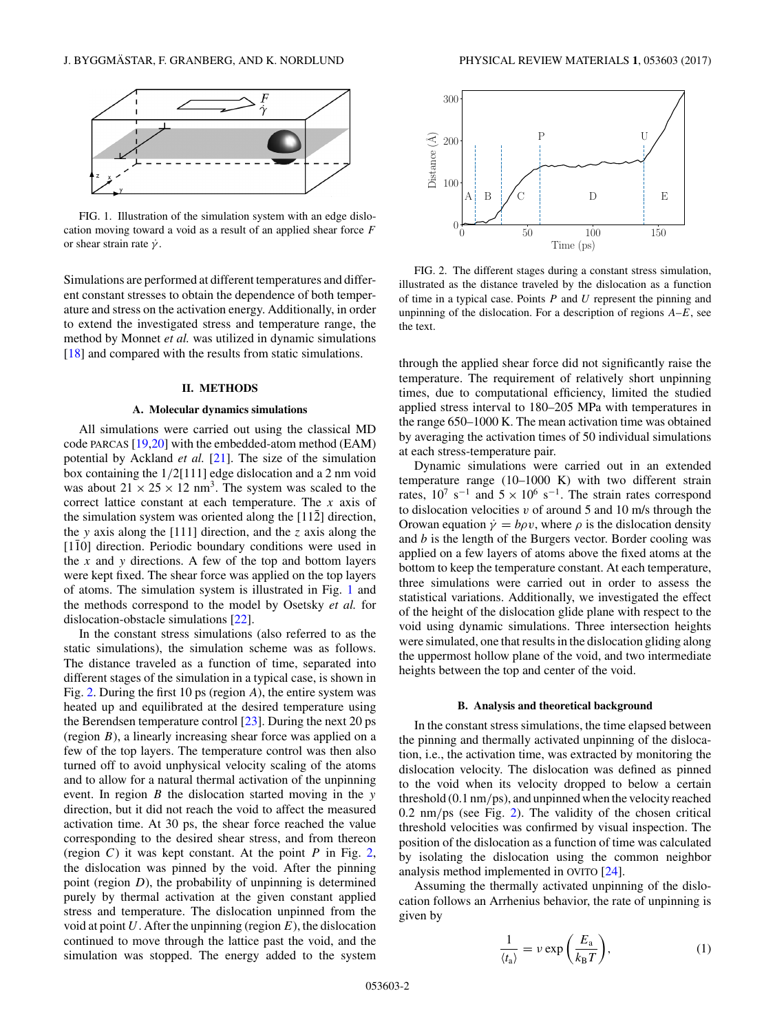<span id="page-1-0"></span>

FIG. 1. Illustration of the simulation system with an edge dislocation moving toward a void as a result of an applied shear force *F* or shear strain rate ˙*γ* .

Simulations are performed at different temperatures and different constant stresses to obtain the dependence of both temperature and stress on the activation energy. Additionally, in order to extend the investigated stress and temperature range, the method by Monnet *et al.* was utilized in dynamic simulations [\[18\]](#page-6-0) and compared with the results from static simulations.

#### **II. METHODS**

## **A. Molecular dynamics simulations**

All simulations were carried out using the classical MD code PARCAS [\[19,20\]](#page-6-0) with the embedded-atom method (EAM) potential by Ackland *et al.* [\[21\]](#page-6-0). The size of the simulation box containing the 1*/*2[111] edge dislocation and a 2 nm void was about  $21 \times 25 \times 12$  nm<sup>3</sup>. The system was scaled to the correct lattice constant at each temperature. The *x* axis of the simulation system was oriented along the  $[11\overline{2}]$  direction, the *y* axis along the [111] direction, and the *z* axis along the  $[1\bar{1}0]$  direction. Periodic boundary conditions were used in the  $x$  and  $y$  directions. A few of the top and bottom layers were kept fixed. The shear force was applied on the top layers of atoms. The simulation system is illustrated in Fig. 1 and the methods correspond to the model by Osetsky *et al.* for dislocation-obstacle simulations [\[22\]](#page-6-0).

In the constant stress simulations (also referred to as the static simulations), the simulation scheme was as follows. The distance traveled as a function of time, separated into different stages of the simulation in a typical case, is shown in Fig. 2. During the first 10 ps (region *A*), the entire system was heated up and equilibrated at the desired temperature using the Berendsen temperature control [\[23\]](#page-6-0). During the next 20 ps (region *B*), a linearly increasing shear force was applied on a few of the top layers. The temperature control was then also turned off to avoid unphysical velocity scaling of the atoms and to allow for a natural thermal activation of the unpinning event. In region *B* the dislocation started moving in the *y* direction, but it did not reach the void to affect the measured activation time. At 30 ps, the shear force reached the value corresponding to the desired shear stress, and from thereon (region *C*) it was kept constant. At the point *P* in Fig. 2, the dislocation was pinned by the void. After the pinning point (region *D*), the probability of unpinning is determined purely by thermal activation at the given constant applied stress and temperature. The dislocation unpinned from the void at point *U*. After the unpinning (region *E*), the dislocation continued to move through the lattice past the void, and the simulation was stopped. The energy added to the system



FIG. 2. The different stages during a constant stress simulation, illustrated as the distance traveled by the dislocation as a function of time in a typical case. Points *P* and *U* represent the pinning and unpinning of the dislocation. For a description of regions *A*–*E*, see the text.

through the applied shear force did not significantly raise the temperature. The requirement of relatively short unpinning times, due to computational efficiency, limited the studied applied stress interval to 180–205 MPa with temperatures in the range 650–1000 K. The mean activation time was obtained by averaging the activation times of 50 individual simulations at each stress-temperature pair.

Dynamic simulations were carried out in an extended temperature range (10–1000 K) with two different strain rates,  $10^7$  s<sup>-1</sup> and  $5 \times 10^6$  s<sup>-1</sup>. The strain rates correspond to dislocation velocities *v* of around 5 and 10 m/s through the Orowan equation  $\dot{\gamma} = b\rho v$ , where  $\rho$  is the dislocation density and *b* is the length of the Burgers vector. Border cooling was applied on a few layers of atoms above the fixed atoms at the bottom to keep the temperature constant. At each temperature, three simulations were carried out in order to assess the statistical variations. Additionally, we investigated the effect of the height of the dislocation glide plane with respect to the void using dynamic simulations. Three intersection heights were simulated, one that results in the dislocation gliding along the uppermost hollow plane of the void, and two intermediate heights between the top and center of the void.

### **B. Analysis and theoretical background**

In the constant stress simulations, the time elapsed between the pinning and thermally activated unpinning of the dislocation, i.e., the activation time, was extracted by monitoring the dislocation velocity. The dislocation was defined as pinned to the void when its velocity dropped to below a certain threshold (0.1 nm*/*ps), and unpinned when the velocity reached 0.2 nm*/*ps (see Fig. 2). The validity of the chosen critical threshold velocities was confirmed by visual inspection. The position of the dislocation as a function of time was calculated by isolating the dislocation using the common neighbor analysis method implemented in OVITO [\[24\]](#page-6-0).

Assuming the thermally activated unpinning of the dislocation follows an Arrhenius behavior, the rate of unpinning is given by

$$
\frac{1}{\langle t_{\rm a} \rangle} = \nu \exp\left(\frac{E_{\rm a}}{k_{\rm B}T}\right),\tag{1}
$$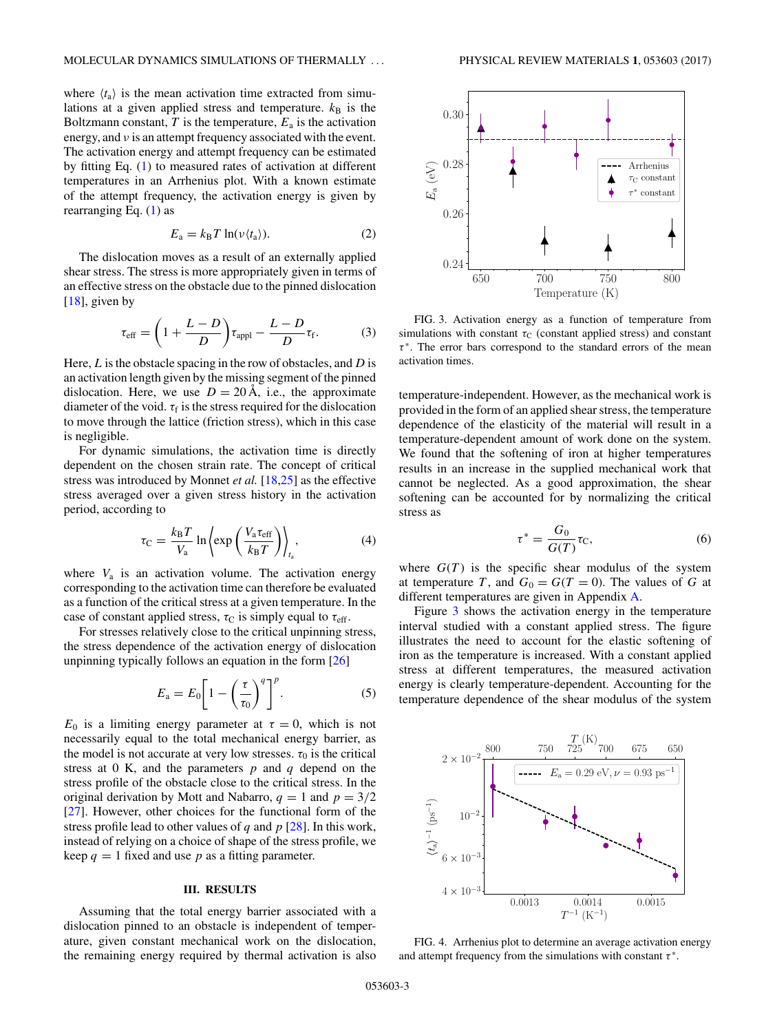<span id="page-2-0"></span>where  $\langle t_a \rangle$  is the mean activation time extracted from simulations at a given applied stress and temperature.  $k_B$  is the Boltzmann constant,  $T$  is the temperature,  $E_a$  is the activation energy, and *ν* is an attempt frequency associated with the event. The activation energy and attempt frequency can be estimated by fitting Eq. [\(1\)](#page-1-0) to measured rates of activation at different temperatures in an Arrhenius plot. With a known estimate of the attempt frequency, the activation energy is given by rearranging Eq. [\(1\)](#page-1-0) as

$$
E_{\rm a} = k_{\rm B} T \ln(\nu \langle t_{\rm a} \rangle). \tag{2}
$$

The dislocation moves as a result of an externally applied shear stress. The stress is more appropriately given in terms of an effective stress on the obstacle due to the pinned dislocation [\[18\]](#page-6-0), given by

$$
\tau_{\text{eff}} = \left(1 + \frac{L - D}{D}\right) \tau_{\text{appl}} - \frac{L - D}{D} \tau_{\text{f}}.
$$
 (3)

Here, *L* is the obstacle spacing in the row of obstacles, and *D* is an activation length given by the missing segment of the pinned dislocation. Here, we use  $D = 20 \text{ Å}$ , i.e., the approximate diameter of the void.  $\tau_f$  is the stress required for the dislocation to move through the lattice (friction stress), which in this case is negligible.

For dynamic simulations, the activation time is directly dependent on the chosen strain rate. The concept of critical stress was introduced by Monnet *et al.* [\[18](#page-6-0)[,25\]](#page-7-0) as the effective stress averaged over a given stress history in the activation period, according to

$$
\tau_{\rm C} = \frac{k_{\rm B} T}{V_{\rm a}} \ln \left\langle \exp\left(\frac{V_{\rm a} \tau_{\rm eff}}{k_{\rm B} T}\right) \right\rangle_{t_{\rm a}},\tag{4}
$$

where  $V_a$  is an activation volume. The activation energy corresponding to the activation time can therefore be evaluated as a function of the critical stress at a given temperature. In the case of constant applied stress,  $\tau_C$  is simply equal to  $\tau_{\text{eff}}$ .

For stresses relatively close to the critical unpinning stress, the stress dependence of the activation energy of dislocation unpinning typically follows an equation in the form [\[26\]](#page-7-0)

$$
E_{\rm a} = E_0 \left[ 1 - \left( \frac{\tau}{\tau_0} \right)^q \right]^p. \tag{5}
$$

 $E_0$  is a limiting energy parameter at  $\tau = 0$ , which is not necessarily equal to the total mechanical energy barrier, as the model is not accurate at very low stresses.  $\tau_0$  is the critical stress at 0 K, and the parameters *p* and *q* depend on the stress profile of the obstacle close to the critical stress. In the original derivation by Mott and Nabarro,  $q = 1$  and  $p = 3/2$ [\[27\]](#page-7-0). However, other choices for the functional form of the stress profile lead to other values of *q* and *p* [\[28\]](#page-7-0). In this work, instead of relying on a choice of shape of the stress profile, we keep  $q = 1$  fixed and use p as a fitting parameter.

### **III. RESULTS**

Assuming that the total energy barrier associated with a dislocation pinned to an obstacle is independent of temperature, given constant mechanical work on the dislocation, the remaining energy required by thermal activation is also



FIG. 3. Activation energy as a function of temperature from simulations with constant  $\tau_c$  (constant applied stress) and constant *τ* <sup>∗</sup>. The error bars correspond to the standard errors of the mean activation times.

temperature-independent. However, as the mechanical work is provided in the form of an applied shear stress, the temperature dependence of the elasticity of the material will result in a temperature-dependent amount of work done on the system. We found that the softening of iron at higher temperatures results in an increase in the supplied mechanical work that cannot be neglected. As a good approximation, the shear softening can be accounted for by normalizing the critical stress as

$$
\tau^* = \frac{G_0}{G(T)} \tau_{\rm C},\tag{6}
$$

where  $G(T)$  is the specific shear modulus of the system at temperature *T*, and  $G_0 = G(T = 0)$ . The values of *G* at different temperatures are given in Appendix [A.](#page-5-0)

Figure 3 shows the activation energy in the temperature interval studied with a constant applied stress. The figure illustrates the need to account for the elastic softening of iron as the temperature is increased. With a constant applied stress at different temperatures, the measured activation energy is clearly temperature-dependent. Accounting for the temperature dependence of the shear modulus of the system



FIG. 4. Arrhenius plot to determine an average activation energy and attempt frequency from the simulations with constant *τ* <sup>∗</sup>.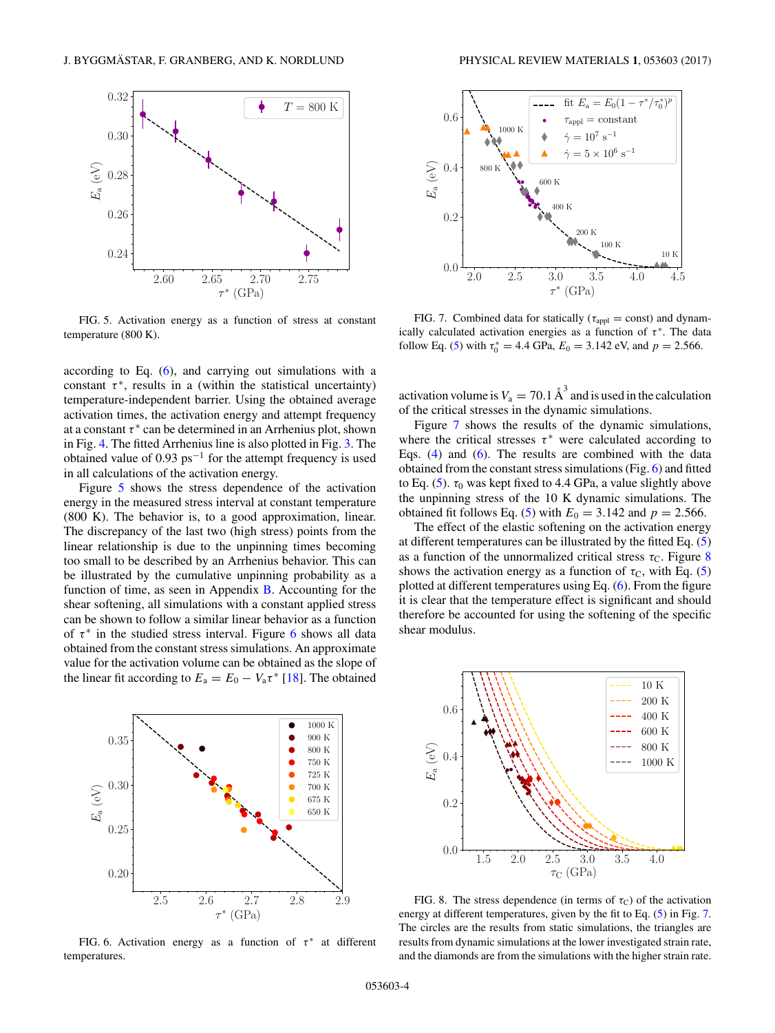<span id="page-3-0"></span>

FIG. 5. Activation energy as a function of stress at constant temperature (800 K).

according to Eq. [\(6\)](#page-2-0), and carrying out simulations with a constant  $\tau^*$ , results in a (within the statistical uncertainty) temperature-independent barrier. Using the obtained average activation times, the activation energy and attempt frequency at a constant  $\tau^*$  can be determined in an Arrhenius plot, shown in Fig. [4.](#page-2-0) The fitted Arrhenius line is also plotted in Fig. [3.](#page-2-0) The obtained value of  $0.93 \text{ ps}^{-1}$  for the attempt frequency is used in all calculations of the activation energy.

Figure 5 shows the stress dependence of the activation energy in the measured stress interval at constant temperature (800 K). The behavior is, to a good approximation, linear. The discrepancy of the last two (high stress) points from the linear relationship is due to the unpinning times becoming too small to be described by an Arrhenius behavior. This can be illustrated by the cumulative unpinning probability as a function of time, as seen in Appendix [B.](#page-6-0) Accounting for the shear softening, all simulations with a constant applied stress can be shown to follow a similar linear behavior as a function of  $\tau^*$  in the studied stress interval. Figure 6 shows all data obtained from the constant stress simulations. An approximate value for the activation volume can be obtained as the slope of the linear fit according to  $E_a = E_0 - V_a \tau^*$  [\[18\]](#page-6-0). The obtained



FIG. 6. Activation energy as a function of τ<sup>\*</sup> at different temperatures.



FIG. 7. Combined data for statically ( $\tau_{\text{appl}} = \text{const}$ ) and dynamically calculated activation energies as a function of  $\tau^*$ . The data follow Eq. [\(5\)](#page-2-0) with  $\tau_0^* = 4.4$  GPa,  $E_0 = 3.142$  eV, and  $p = 2.566$ .

activation volume is  $V_a = 70.1 \text{ Å}^3$  and is used in the calculation of the critical stresses in the dynamic simulations.

Figure 7 shows the results of the dynamic simulations, where the critical stresses  $\tau^*$  were calculated according to Eqs. [\(4\)](#page-2-0) and [\(6\)](#page-2-0). The results are combined with the data obtained from the constant stress simulations (Fig. 6) and fitted to Eq.  $(5)$ .  $\tau_0$  was kept fixed to 4.4 GPa, a value slightly above the unpinning stress of the 10 K dynamic simulations. The obtained fit follows Eq. [\(5\)](#page-2-0) with  $E_0 = 3.142$  and  $p = 2.566$ .

The effect of the elastic softening on the activation energy at different temperatures can be illustrated by the fitted Eq. [\(5\)](#page-2-0) as a function of the unnormalized critical stress  $\tau_c$ . Figure 8 shows the activation energy as a function of  $\tau_c$ , with Eq. [\(5\)](#page-2-0) plotted at different temperatures using Eq. [\(6\)](#page-2-0). From the figure it is clear that the temperature effect is significant and should therefore be accounted for using the softening of the specific shear modulus.



FIG. 8. The stress dependence (in terms of  $\tau_C$ ) of the activation energy at different temperatures, given by the fit to Eq. [\(5\)](#page-2-0) in Fig. 7. The circles are the results from static simulations, the triangles are results from dynamic simulations at the lower investigated strain rate, and the diamonds are from the simulations with the higher strain rate.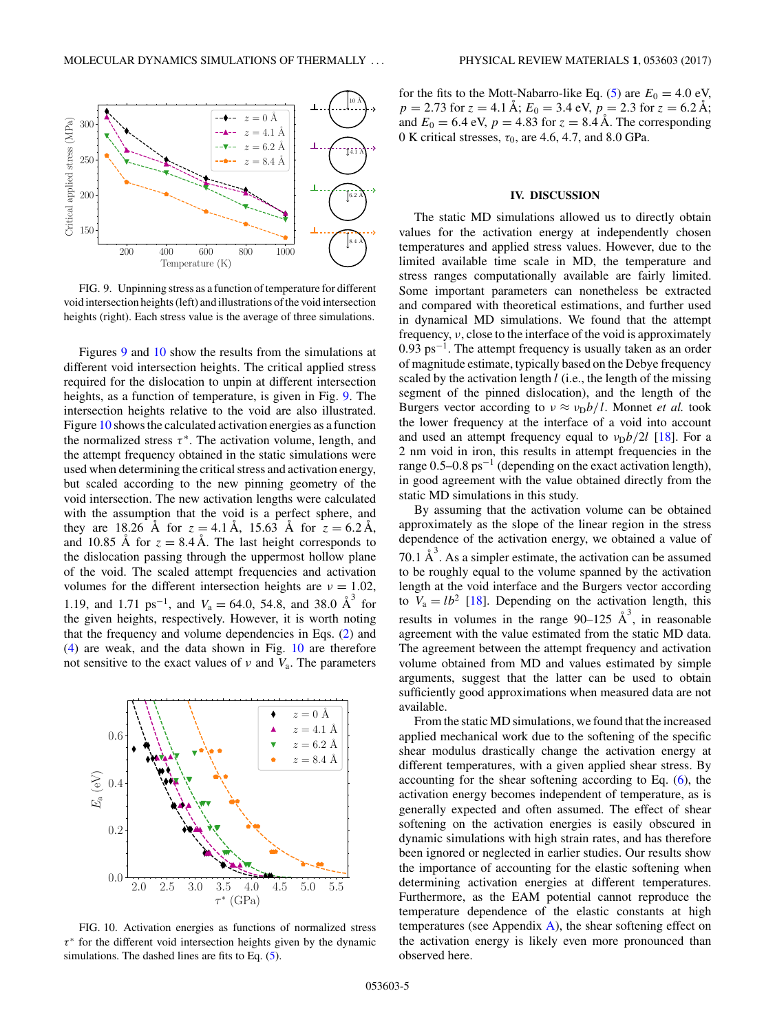

FIG. 9. Unpinning stress as a function of temperature for different void intersection heights (left) and illustrations of the void intersection heights (right). Each stress value is the average of three simulations.

Figures 9 and 10 show the results from the simulations at different void intersection heights. The critical applied stress required for the dislocation to unpin at different intersection heights, as a function of temperature, is given in Fig. 9. The intersection heights relative to the void are also illustrated. Figure 10 shows the calculated activation energies as a function the normalized stress  $\tau^*$ . The activation volume, length, and the attempt frequency obtained in the static simulations were used when determining the critical stress and activation energy, but scaled according to the new pinning geometry of the void intersection. The new activation lengths were calculated with the assumption that the void is a perfect sphere, and they are 18.26 Å for  $z = 4.1 \text{ Å}$ , 15.63 Å for  $z = 6.2 \text{ Å}$ , and 10.85 Å for  $z = 8.4 \text{ Å}$ . The last height corresponds to the dislocation passing through the uppermost hollow plane of the void. The scaled attempt frequencies and activation volumes for the different intersection heights are  $v = 1.02$ , 1.19, and 1.71 ps<sup>-1</sup>, and  $V_a = 64.0$ , 54.8, and 38.0  $\AA^3$  for the given heights, respectively. However, it is worth noting that the frequency and volume dependencies in Eqs. [\(2\)](#page-2-0) and [\(4\)](#page-2-0) are weak, and the data shown in Fig. 10 are therefore not sensitive to the exact values of *ν* and *V*a. The parameters



FIG. 10. Activation energies as functions of normalized stress *τ* <sup>∗</sup> for the different void intersection heights given by the dynamic simulations. The dashed lines are fits to Eq. [\(5\)](#page-2-0).

for the fits to the Mott-Nabarro-like Eq. [\(5\)](#page-2-0) are  $E_0 = 4.0 \text{ eV}$ ,  $p = 2.73$  for  $z = 4.1$  Å;  $E_0 = 3.4$  eV,  $p = 2.3$  for  $z = 6.2$  Å; and  $E_0 = 6.4$  eV,  $p = 4.83$  for  $z = 8.4$  Å. The corresponding 0 K critical stresses,  $\tau_0$ , are 4.6, 4.7, and 8.0 GPa.

#### **IV. DISCUSSION**

The static MD simulations allowed us to directly obtain values for the activation energy at independently chosen temperatures and applied stress values. However, due to the limited available time scale in MD, the temperature and stress ranges computationally available are fairly limited. Some important parameters can nonetheless be extracted and compared with theoretical estimations, and further used in dynamical MD simulations. We found that the attempt frequency, *ν*, close to the interface of the void is approximately  $0.93 \text{ ps}^{-1}$ . The attempt frequency is usually taken as an order of magnitude estimate, typically based on the Debye frequency scaled by the activation length *l* (i.e., the length of the missing segment of the pinned dislocation), and the length of the Burgers vector according to  $v \approx v_D b/l$ . Monnet *et al.* took the lower frequency at the interface of a void into account and used an attempt frequency equal to  $v_D b/2l$  [\[18\]](#page-6-0). For a 2 nm void in iron, this results in attempt frequencies in the range 0*.*5–0*.*8 ps−<sup>1</sup> (depending on the exact activation length), in good agreement with the value obtained directly from the static MD simulations in this study.

By assuming that the activation volume can be obtained approximately as the slope of the linear region in the stress dependence of the activation energy, we obtained a value of 70.1  $A^3$ . As a simpler estimate, the activation can be assumed to be roughly equal to the volume spanned by the activation length at the void interface and the Burgers vector according to  $V_a = lb^2$  [\[18\]](#page-6-0). Depending on the activation length, this results in volumes in the range  $90-125$   $\text{\AA}^3$ , in reasonable agreement with the value estimated from the static MD data. The agreement between the attempt frequency and activation volume obtained from MD and values estimated by simple arguments, suggest that the latter can be used to obtain sufficiently good approximations when measured data are not available.

From the static MD simulations, we found that the increased applied mechanical work due to the softening of the specific shear modulus drastically change the activation energy at different temperatures, with a given applied shear stress. By accounting for the shear softening according to Eq. [\(6\)](#page-2-0), the activation energy becomes independent of temperature, as is generally expected and often assumed. The effect of shear softening on the activation energies is easily obscured in dynamic simulations with high strain rates, and has therefore been ignored or neglected in earlier studies. Our results show the importance of accounting for the elastic softening when determining activation energies at different temperatures. Furthermore, as the EAM potential cannot reproduce the temperature dependence of the elastic constants at high temperatures (see Appendix  $\overline{A}$ ), the shear softening effect on the activation energy is likely even more pronounced than observed here.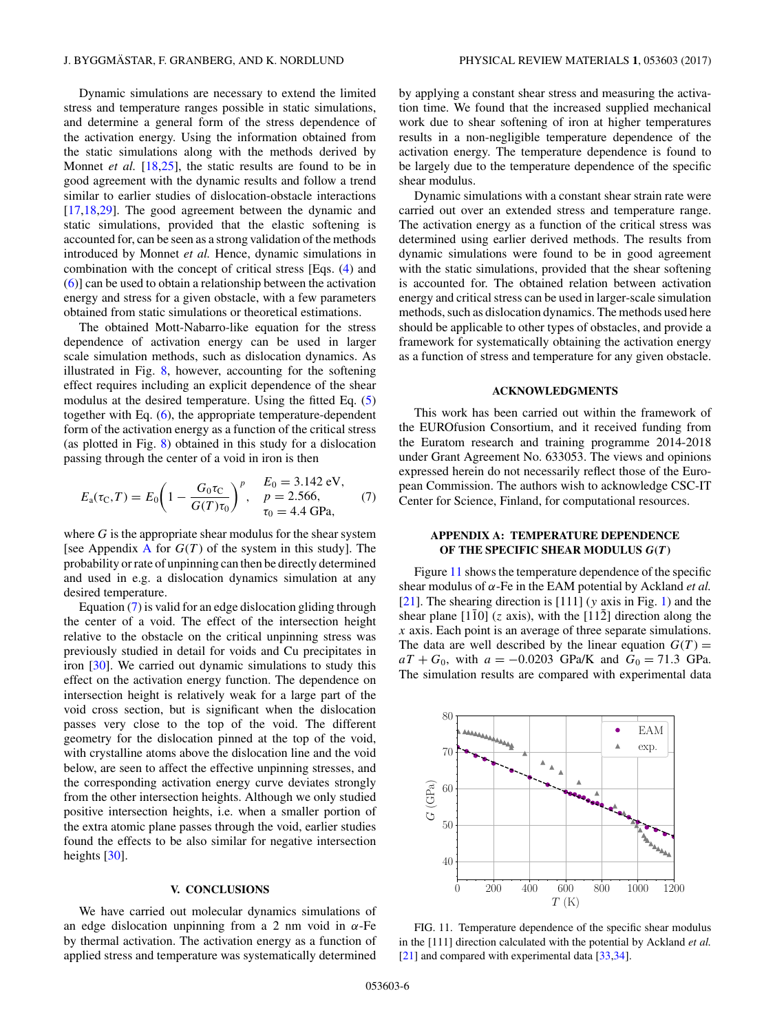<span id="page-5-0"></span>Dynamic simulations are necessary to extend the limited stress and temperature ranges possible in static simulations, and determine a general form of the stress dependence of the activation energy. Using the information obtained from the static simulations along with the methods derived by Monnet *et al.* [\[18,](#page-6-0)[25\]](#page-7-0), the static results are found to be in good agreement with the dynamic results and follow a trend similar to earlier studies of dislocation-obstacle interactions [\[17,18](#page-6-0)[,29\]](#page-7-0). The good agreement between the dynamic and static simulations, provided that the elastic softening is accounted for, can be seen as a strong validation of the methods introduced by Monnet *et al.* Hence, dynamic simulations in combination with the concept of critical stress [Eqs. [\(4\)](#page-2-0) and [\(6\)](#page-2-0)] can be used to obtain a relationship between the activation energy and stress for a given obstacle, with a few parameters obtained from static simulations or theoretical estimations.

The obtained Mott-Nabarro-like equation for the stress dependence of activation energy can be used in larger scale simulation methods, such as dislocation dynamics. As illustrated in Fig. [8,](#page-3-0) however, accounting for the softening effect requires including an explicit dependence of the shear modulus at the desired temperature. Using the fitted Eq. [\(5\)](#page-2-0) together with Eq. [\(6\)](#page-2-0), the appropriate temperature-dependent form of the activation energy as a function of the critical stress (as plotted in Fig. [8\)](#page-3-0) obtained in this study for a dislocation passing through the center of a void in iron is then

$$
E_{\rm a}(\tau_{\rm C}, T) = E_0 \bigg( 1 - \frac{G_0 \tau_{\rm C}}{G(T) \tau_0} \bigg)^p, \quad \begin{array}{l} E_0 = 3.142 \text{ eV}, \\ p = 2.566, \\ \tau_0 = 4.4 \text{ GPa}, \end{array} \tag{7}
$$

where *G* is the appropriate shear modulus for the shear system [see Appendix  $\overline{A}$  for  $G(T)$  of the system in this study]. The probability or rate of unpinning can then be directly determined and used in e.g. a dislocation dynamics simulation at any desired temperature.

Equation (7) is valid for an edge dislocation gliding through the center of a void. The effect of the intersection height relative to the obstacle on the critical unpinning stress was previously studied in detail for voids and Cu precipitates in iron [\[30\]](#page-7-0). We carried out dynamic simulations to study this effect on the activation energy function. The dependence on intersection height is relatively weak for a large part of the void cross section, but is significant when the dislocation passes very close to the top of the void. The different geometry for the dislocation pinned at the top of the void, with crystalline atoms above the dislocation line and the void below, are seen to affect the effective unpinning stresses, and the corresponding activation energy curve deviates strongly from the other intersection heights. Although we only studied positive intersection heights, i.e. when a smaller portion of the extra atomic plane passes through the void, earlier studies found the effects to be also similar for negative intersection heights [\[30\]](#page-7-0).

#### **V. CONCLUSIONS**

We have carried out molecular dynamics simulations of an edge dislocation unpinning from a 2 nm void in *α*-Fe by thermal activation. The activation energy as a function of applied stress and temperature was systematically determined by applying a constant shear stress and measuring the activation time. We found that the increased supplied mechanical work due to shear softening of iron at higher temperatures results in a non-negligible temperature dependence of the activation energy. The temperature dependence is found to be largely due to the temperature dependence of the specific shear modulus.

Dynamic simulations with a constant shear strain rate were carried out over an extended stress and temperature range. The activation energy as a function of the critical stress was determined using earlier derived methods. The results from dynamic simulations were found to be in good agreement with the static simulations, provided that the shear softening is accounted for. The obtained relation between activation energy and critical stress can be used in larger-scale simulation methods, such as dislocation dynamics. The methods used here should be applicable to other types of obstacles, and provide a framework for systematically obtaining the activation energy as a function of stress and temperature for any given obstacle.

#### **ACKNOWLEDGMENTS**

This work has been carried out within the framework of the EUROfusion Consortium, and it received funding from the Euratom research and training programme 2014-2018 under Grant Agreement No. 633053. The views and opinions expressed herein do not necessarily reflect those of the European Commission. The authors wish to acknowledge CSC-IT Center for Science, Finland, for computational resources.

## **APPENDIX A: TEMPERATURE DEPENDENCE OF THE SPECIFIC SHEAR MODULUS** *G***(***T***)**

Figure 11 shows the temperature dependence of the specific shear modulus of *α*-Fe in the EAM potential by Ackland *et al.* [\[21\]](#page-6-0). The shearing direction is [111] (*y* axis in Fig. [1\)](#page-1-0) and the shear plane  $[110]$  (*z* axis), with the  $[112]$  direction along the *x* axis. Each point is an average of three separate simulations. The data are well described by the linear equation  $G(T)$  =  $aT + G_0$ , with  $a = -0.0203$  GPa/K and  $G_0 = 71.3$  GPa. The simulation results are compared with experimental data



FIG. 11. Temperature dependence of the specific shear modulus in the [111] direction calculated with the potential by Ackland *et al.* [\[21\]](#page-6-0) and compared with experimental data [\[33,34\]](#page-7-0).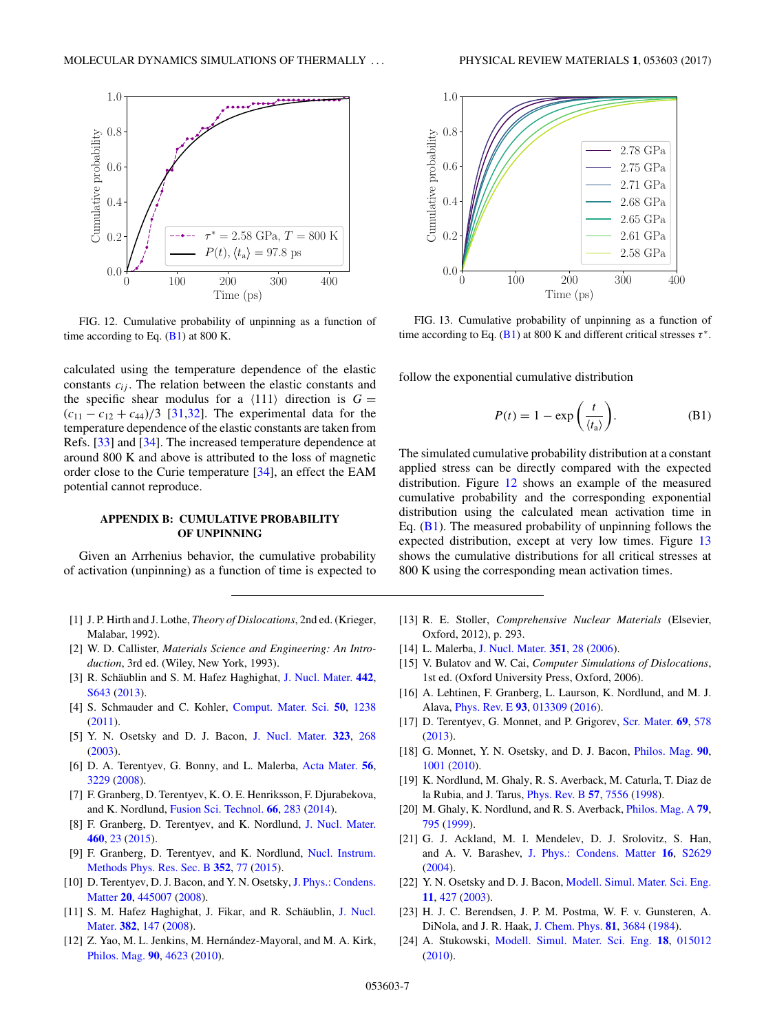<span id="page-6-0"></span>

FIG. 12. Cumulative probability of unpinning as a function of time according to Eq.  $(B1)$  at 800 K.

calculated using the temperature dependence of the elastic constants  $c_{ij}$ . The relation between the elastic constants and the specific shear modulus for a  $\langle 111 \rangle$  direction is  $G =$  $(c_{11} - c_{12} + c_{44})/3$  [\[31,32\]](#page-7-0). The experimental data for the temperature dependence of the elastic constants are taken from Refs. [\[33\]](#page-7-0) and [\[34\]](#page-7-0). The increased temperature dependence at around 800 K and above is attributed to the loss of magnetic order close to the Curie temperature [\[34\]](#page-7-0), an effect the EAM potential cannot reproduce.

### **APPENDIX B: CUMULATIVE PROBABILITY OF UNPINNING**

Given an Arrhenius behavior, the cumulative probability of activation (unpinning) as a function of time is expected to

- [1] J. P. Hirth and J. Lothe, *Theory of Dislocations*, 2nd ed. (Krieger, Malabar, 1992).
- [2] W. D. Callister, *Materials Science and Engineering: An Introduction*, 3rd ed. (Wiley, New York, 1993).
- [3] R. Schäublin and S. M. Hafez Haghighat, [J. Nucl. Mater.](https://doi.org/10.1016/j.jnucmat.2013.04.045) **[442](https://doi.org/10.1016/j.jnucmat.2013.04.045)**, [S643](https://doi.org/10.1016/j.jnucmat.2013.04.045) [\(2013\)](https://doi.org/10.1016/j.jnucmat.2013.04.045).
- [4] S. Schmauder and C. Kohler, [Comput. Mater. Sci.](https://doi.org/10.1016/j.commatsci.2010.04.041) **[50](https://doi.org/10.1016/j.commatsci.2010.04.041)**, [1238](https://doi.org/10.1016/j.commatsci.2010.04.041) [\(2011\)](https://doi.org/10.1016/j.commatsci.2010.04.041).
- [5] Y. N. Osetsky and D. J. Bacon, [J. Nucl. Mater.](https://doi.org/10.1016/j.jnucmat.2003.08.028) **[323](https://doi.org/10.1016/j.jnucmat.2003.08.028)**, [268](https://doi.org/10.1016/j.jnucmat.2003.08.028) [\(2003\)](https://doi.org/10.1016/j.jnucmat.2003.08.028).
- [6] D. A. Terentyev, G. Bonny, and L. Malerba, [Acta Mater.](https://doi.org/10.1016/j.actamat.2008.03.004) **[56](https://doi.org/10.1016/j.actamat.2008.03.004)**, [3229](https://doi.org/10.1016/j.actamat.2008.03.004) [\(2008\)](https://doi.org/10.1016/j.actamat.2008.03.004).
- [7] F. Granberg, D. Terentyev, K. O. E. Henriksson, F. Djurabekova, and K. Nordlund, [Fusion Sci. Technol.](https://doi.org/10.13182/FST13-728) **[66](https://doi.org/10.13182/FST13-728)**, [283](https://doi.org/10.13182/FST13-728) [\(2014\)](https://doi.org/10.13182/FST13-728).
- [8] F. Granberg, D. Terentyev, and K. Nordlund, [J. Nucl. Mater.](https://doi.org/10.1016/j.jnucmat.2015.01.064) **[460](https://doi.org/10.1016/j.jnucmat.2015.01.064)**, [23](https://doi.org/10.1016/j.jnucmat.2015.01.064) [\(2015\)](https://doi.org/10.1016/j.jnucmat.2015.01.064).
- [9] [F. Granberg, D. Terentyev, and K. Nordlund,](https://doi.org/10.1016/j.nimb.2015.01.007) Nucl. Instrum. Methods Phys. Res. Sec. B **[352](https://doi.org/10.1016/j.nimb.2015.01.007)**, [77](https://doi.org/10.1016/j.nimb.2015.01.007) [\(2015\)](https://doi.org/10.1016/j.nimb.2015.01.007).
- [10] D. Terentyev, D. J. Bacon, and Y. N. Osetsky, J. Phys.: Condens. Matter **[20](https://doi.org/10.1088/0953-8984/20/44/445007)**, [445007](https://doi.org/10.1088/0953-8984/20/44/445007) [\(2008\)](https://doi.org/10.1088/0953-8984/20/44/445007).
- [11] [S. M. Hafez Haghighat, J. Fikar, and R. Schäublin,](https://doi.org/10.1016/j.jnucmat.2008.08.017) J. Nucl. Mater. **[382](https://doi.org/10.1016/j.jnucmat.2008.08.017)**, [147](https://doi.org/10.1016/j.jnucmat.2008.08.017) [\(2008\)](https://doi.org/10.1016/j.jnucmat.2008.08.017).
- [12] Z. Yao, M. L. Jenkins, M. Hernández-Mayoral, and M. A. Kirk, [Philos. Mag.](https://doi.org/10.1080/14786430903430981) **[90](https://doi.org/10.1080/14786430903430981)**, [4623](https://doi.org/10.1080/14786430903430981) [\(2010\)](https://doi.org/10.1080/14786430903430981).



FIG. 13. Cumulative probability of unpinning as a function of time according to Eq. (B1) at 800 K and different critical stresses  $\tau^*$ .

follow the exponential cumulative distribution

$$
P(t) = 1 - \exp\left(\frac{t}{\langle t_a \rangle}\right).
$$
 (B1)

The simulated cumulative probability distribution at a constant applied stress can be directly compared with the expected distribution. Figure 12 shows an example of the measured cumulative probability and the corresponding exponential distribution using the calculated mean activation time in Eq.  $(B1)$ . The measured probability of unpinning follows the expected distribution, except at very low times. Figure 13 shows the cumulative distributions for all critical stresses at 800 K using the corresponding mean activation times.

- [13] R. E. Stoller, *Comprehensive Nuclear Materials* (Elsevier, Oxford, 2012), p. 293.
- [14] L. Malerba, [J. Nucl. Mater.](https://doi.org/10.1016/j.jnucmat.2006.02.023) **[351](https://doi.org/10.1016/j.jnucmat.2006.02.023)**, [28](https://doi.org/10.1016/j.jnucmat.2006.02.023) [\(2006\)](https://doi.org/10.1016/j.jnucmat.2006.02.023).
- [15] V. Bulatov and W. Cai, *Computer Simulations of Dislocations*, 1st ed. (Oxford University Press, Oxford, 2006).
- [16] A. Lehtinen, F. Granberg, L. Laurson, K. Nordlund, and M. J. Alava, [Phys. Rev. E](https://doi.org/10.1103/PhysRevE.93.013309) **[93](https://doi.org/10.1103/PhysRevE.93.013309)**, [013309](https://doi.org/10.1103/PhysRevE.93.013309) [\(2016\)](https://doi.org/10.1103/PhysRevE.93.013309).
- [17] D. Terentyev, G. Monnet, and P. Grigorev, [Scr. Mater.](https://doi.org/10.1016/j.scriptamat.2013.06.026) **[69](https://doi.org/10.1016/j.scriptamat.2013.06.026)**, [578](https://doi.org/10.1016/j.scriptamat.2013.06.026) [\(2013\)](https://doi.org/10.1016/j.scriptamat.2013.06.026).
- [18] G. Monnet, Y. N. Osetsky, and D. J. Bacon, [Philos. Mag.](https://doi.org/10.1080/14786430903117133) **[90](https://doi.org/10.1080/14786430903117133)**, [1001](https://doi.org/10.1080/14786430903117133) [\(2010\)](https://doi.org/10.1080/14786430903117133).
- [19] K. Nordlund, M. Ghaly, R. S. Averback, M. Caturla, T. Diaz de la Rubia, and J. Tarus, [Phys. Rev. B](https://doi.org/10.1103/PhysRevB.57.7556) **[57](https://doi.org/10.1103/PhysRevB.57.7556)**, [7556](https://doi.org/10.1103/PhysRevB.57.7556) [\(1998\)](https://doi.org/10.1103/PhysRevB.57.7556).
- [20] M. Ghaly, K. Nordlund, and R. S. Averback, [Philos. Mag. A](https://doi.org/10.1080/01418619908210332) **[79](https://doi.org/10.1080/01418619908210332)**, [795](https://doi.org/10.1080/01418619908210332) [\(1999\)](https://doi.org/10.1080/01418619908210332).
- [21] G. J. Ackland, M. I. Mendelev, D. J. Srolovitz, S. Han, and A. V. Barashev, [J. Phys.: Condens. Matter](https://doi.org/10.1088/0953-8984/16/27/003) **[16](https://doi.org/10.1088/0953-8984/16/27/003)**, [S2629](https://doi.org/10.1088/0953-8984/16/27/003) [\(2004\)](https://doi.org/10.1088/0953-8984/16/27/003).
- [22] Y. N. Osetsky and D. J. Bacon, [Modell. Simul. Mater. Sci. Eng.](https://doi.org/10.1088/0965-0393/11/4/302) **[11](https://doi.org/10.1088/0965-0393/11/4/302)**, [427](https://doi.org/10.1088/0965-0393/11/4/302) [\(2003\)](https://doi.org/10.1088/0965-0393/11/4/302).
- [23] H. J. C. Berendsen, J. P. M. Postma, W. F. v. Gunsteren, A. DiNola, and J. R. Haak, [J. Chem. Phys.](https://doi.org/10.1063/1.448118) **[81](https://doi.org/10.1063/1.448118)**, [3684](https://doi.org/10.1063/1.448118) [\(1984\)](https://doi.org/10.1063/1.448118).
- [24] A. Stukowski, [Modell. Simul. Mater. Sci. Eng.](https://doi.org/10.1088/0965-0393/18/1/015012) **[18](https://doi.org/10.1088/0965-0393/18/1/015012)**, [015012](https://doi.org/10.1088/0965-0393/18/1/015012) [\(2010\)](https://doi.org/10.1088/0965-0393/18/1/015012).